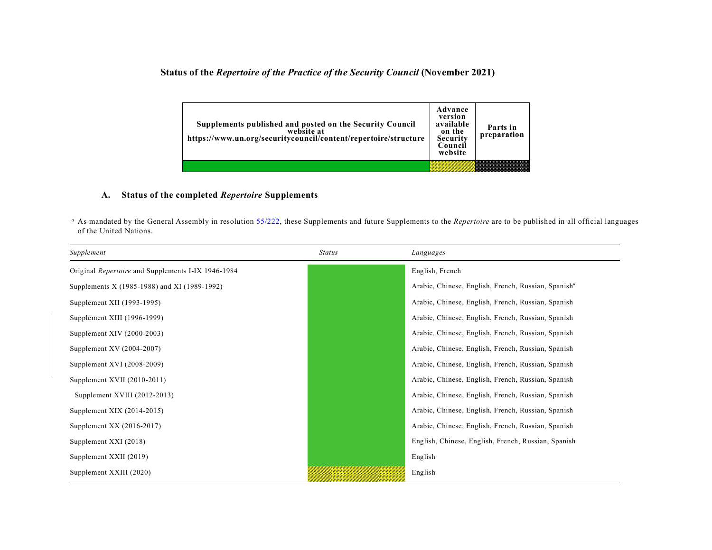## **Status of the** *Repertoire of the Practice of the Security Council* **(November 2021)**

| Supplements published and posted on the Security Council<br>website at<br>https://www.un.org/securitycouncil/content/repertoire/structure | Advance<br>version<br>available<br>on the<br>Security<br>Council<br>website | Parts in<br>preparation |
|-------------------------------------------------------------------------------------------------------------------------------------------|-----------------------------------------------------------------------------|-------------------------|
|                                                                                                                                           |                                                                             |                         |

## **A. Status of the completed** *Repertoire* **Supplements**

*<sup>a</sup>* As mandated by the General Assembly in resolution [55/222,](http://undocs.org/A/RES/55/222) these Supplements and future Supplements to the *Repertoire* are to be published in all official languages of the United Nations.

| Supplement                                         | <b>Status</b> | Languages                                                       |
|----------------------------------------------------|---------------|-----------------------------------------------------------------|
| Original Repertoire and Supplements I-IX 1946-1984 |               | English, French                                                 |
| Supplements X (1985-1988) and XI (1989-1992)       |               | Arabic, Chinese, English, French, Russian, Spanish <sup>a</sup> |
| Supplement XII (1993-1995)                         |               | Arabic, Chinese, English, French, Russian, Spanish              |
| Supplement XIII (1996-1999)                        |               | Arabic, Chinese, English, French, Russian, Spanish              |
| Supplement XIV (2000-2003)                         |               | Arabic, Chinese, English, French, Russian, Spanish              |
| Supplement XV (2004-2007)                          |               | Arabic, Chinese, English, French, Russian, Spanish              |
| Supplement XVI (2008-2009)                         |               | Arabic, Chinese, English, French, Russian, Spanish              |
| Supplement XVII (2010-2011)                        |               | Arabic, Chinese, English, French, Russian, Spanish              |
| Supplement XVIII (2012-2013)                       |               | Arabic, Chinese, English, French, Russian, Spanish              |
| Supplement XIX $(2014-2015)$                       |               | Arabic, Chinese, English, French, Russian, Spanish              |
| Supplement XX (2016-2017)                          |               | Arabic, Chinese, English, French, Russian, Spanish              |
| Supplement XXI (2018)                              |               | English, Chinese, English, French, Russian, Spanish             |
| Supplement XXII (2019)                             |               | English                                                         |
| Supplement XXIII (2020)                            |               | English                                                         |